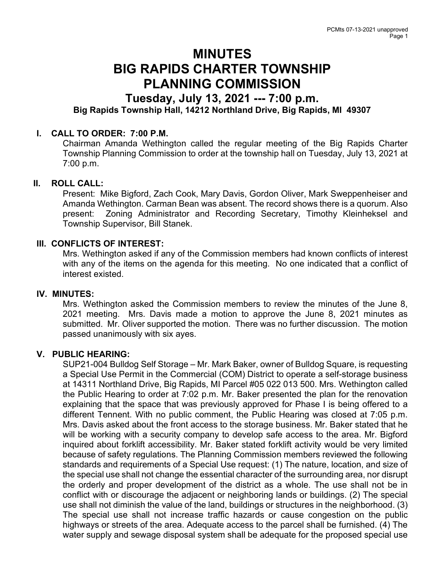# MINUTES BIG RAPIDS CHARTER TOWNSHIP PLANNING COMMISSION

## Tuesday, July 13, 2021 --- 7:00 p.m. Big Rapids Township Hall, 14212 Northland Drive, Big Rapids, MI 49307

### I. CALL TO ORDER: 7:00 P.M.

Chairman Amanda Wethington called the regular meeting of the Big Rapids Charter Township Planning Commission to order at the township hall on Tuesday, July 13, 2021 at 7:00 p.m.

#### II. ROLL CALL:

Present: Mike Bigford, Zach Cook, Mary Davis, Gordon Oliver, Mark Sweppenheiser and Amanda Wethington. Carman Bean was absent. The record shows there is a quorum. Also present: Zoning Administrator and Recording Secretary, Timothy Kleinheksel and Township Supervisor, Bill Stanek.

#### III. CONFLICTS OF INTEREST:

Mrs. Wethington asked if any of the Commission members had known conflicts of interest with any of the items on the agenda for this meeting. No one indicated that a conflict of interest existed.

#### IV. MINUTES:

Mrs. Wethington asked the Commission members to review the minutes of the June 8, 2021 meeting. Mrs. Davis made a motion to approve the June 8, 2021 minutes as submitted. Mr. Oliver supported the motion. There was no further discussion. The motion passed unanimously with six ayes.

#### V. PUBLIC HEARING:

SUP21-004 Bulldog Self Storage – Mr. Mark Baker, owner of Bulldog Square, is requesting a Special Use Permit in the Commercial (COM) District to operate a self-storage business at 14311 Northland Drive, Big Rapids, MI Parcel #05 022 013 500. Mrs. Wethington called the Public Hearing to order at 7:02 p.m. Mr. Baker presented the plan for the renovation explaining that the space that was previously approved for Phase I is being offered to a different Tennent. With no public comment, the Public Hearing was closed at 7:05 p.m. Mrs. Davis asked about the front access to the storage business. Mr. Baker stated that he will be working with a security company to develop safe access to the area. Mr. Bigford inquired about forklift accessibility. Mr. Baker stated forklift activity would be very limited because of safety regulations. The Planning Commission members reviewed the following standards and requirements of a Special Use request: (1) The nature, location, and size of the special use shall not change the essential character of the surrounding area, nor disrupt the orderly and proper development of the district as a whole. The use shall not be in conflict with or discourage the adjacent or neighboring lands or buildings. (2) The special use shall not diminish the value of the land, buildings or structures in the neighborhood. (3) The special use shall not increase traffic hazards or cause congestion on the public highways or streets of the area. Adequate access to the parcel shall be furnished. (4) The water supply and sewage disposal system shall be adequate for the proposed special use